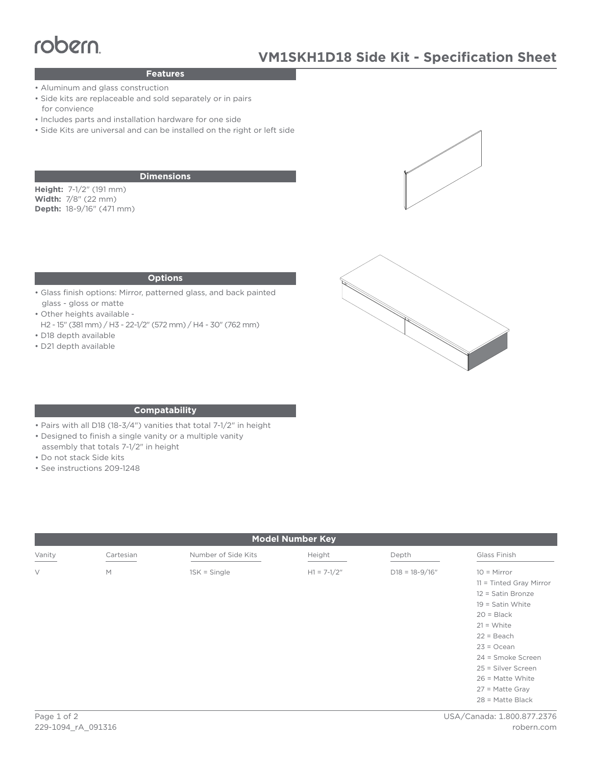# robern

## **Features**

- Aluminum and glass construction
- **Features**<br>• Aluminum and glass construction<br>• Side kits are replaceable and sold separately or in pairs for convience
	- Includes parts and installation hardware for one side
	- Side Kits are universal and can be installed on the right or left side

#### **Dimensions**

**Height:** 7-1/2" (191 mm) **Width:** 7/8" (22 mm) **Depth:** 18-9/16" (471 mm)

#### **Options**

- Glass finish options: Mirror, patterned glass, and back painted glass - gloss or matte
- Other heights available -
- H2 15" (381 mm) / H3 22-1/2" (572 mm) / H4 30" (762 mm) • D18 depth available
- 
- D21 depth available





#### **Compatability**

- Pairs with all D18 (18-3/4") vanities that total 7-1/2" in height
- Designed to finish a single vanity or a multiple vanity
- assembly that totals 7-1/2" in height
- Do not stack Side kits
- See instructions 209-1248

| <b>Model Number Key</b> |           |                     |               |                    |                                                                                                                                                     |
|-------------------------|-----------|---------------------|---------------|--------------------|-----------------------------------------------------------------------------------------------------------------------------------------------------|
| Vanity                  | Cartesian | Number of Side Kits | Height        | Depth              | Glass Finish                                                                                                                                        |
| $\vee$                  | M         | $1SK = Single$      | $H1 = 7-1/2"$ | $D18 = 18 - 9/16"$ | $10 =$ Mirror<br>11 = Tinted Gray Mirror<br>12 = Satin Bronze<br>$19 =$ Satin White<br>$20 = Black$<br>$21 = White$<br>$22 = Beach$<br>$23 = Ocean$ |
|                         |           |                     |               |                    | 24 = Smoke Screen<br>25 = Silver Screen<br>26 = Matte White<br>$27$ = Matte Gray<br>$28$ = Matte Black                                              |